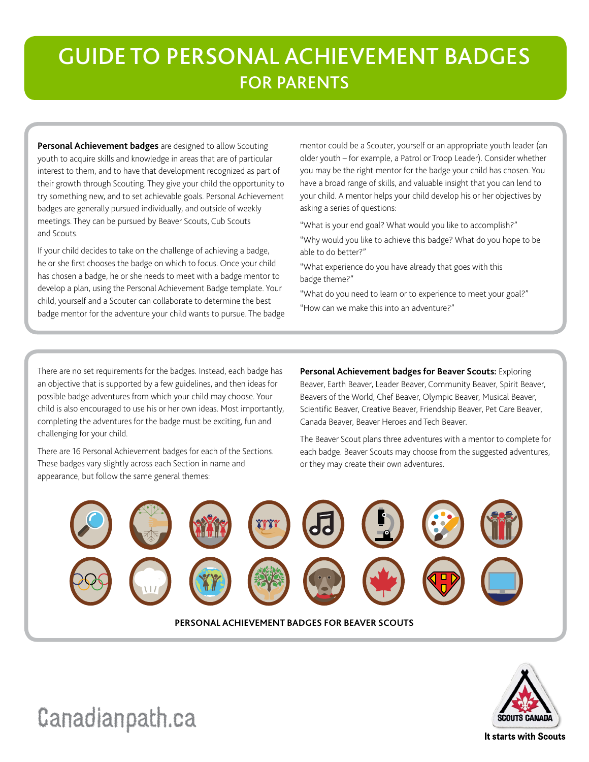# GUIDE TO PERSONAL ACHIEVEMENT BADGES FOR PARENTS

**Personal Achievement badges** are designed to allow Scouting youth to acquire skills and knowledge in areas that are of particular interest to them, and to have that development recognized as part of their growth through Scouting. They give your child the opportunity to try something new, and to set achievable goals. Personal Achievement badges are generally pursued individually, and outside of weekly meetings. They can be pursued by Beaver Scouts, Cub Scouts and Scouts.

If your child decides to take on the challenge of achieving a badge, he or she first chooses the badge on which to focus. Once your child has chosen a badge, he or she needs to meet with a badge mentor to develop a plan, using the Personal Achievement Badge template. Your child, yourself and a Scouter can collaborate to determine the best badge mentor for the adventure your child wants to pursue. The badge

mentor could be a Scouter, yourself or an appropriate youth leader (an older youth – for example, a Patrol or Troop Leader). Consider whether you may be the right mentor for the badge your child has chosen. You have a broad range of skills, and valuable insight that you can lend to your child. A mentor helps your child develop his or her objectives by asking a series of questions:

"What is your end goal? What would you like to accomplish?"

"Why would you like to achieve this badge? What do you hope to be able to do better?"

"What experience do you have already that goes with this badge theme?"

"What do you need to learn or to experience to meet your goal?" "How can we make this into an adventure?"

There are no set requirements for the badges. Instead, each badge has an objective that is supported by a few guidelines, and then ideas for possible badge adventures from which your child may choose. Your child is also encouraged to use his or her own ideas. Most importantly, completing the adventures for the badge must be exciting, fun and challenging for your child.

There are 16 Personal Achievement badges for each of the Sections. These badges vary slightly across each Section in name and appearance, but follow the same general themes:

# **Personal Achievement badges for Beaver Scouts:** Exploring

Beaver, Earth Beaver, Leader Beaver, Community Beaver, Spirit Beaver, Beavers of the World, Chef Beaver, Olympic Beaver, Musical Beaver, Scientific Beaver, Creative Beaver, Friendship Beaver, Pet Care Beaver, Canada Beaver, Beaver Heroes and Tech Beaver.

The Beaver Scout plans three adventures with a mentor to complete for each badge. Beaver Scouts may choose from the suggested adventures, or they may create their own adventures.





[Canadianpath.ca](http://www.scoutinglife.ca/wp-content/uploads/bs/bs-pab-guide.pdf)

It starts with Scouts